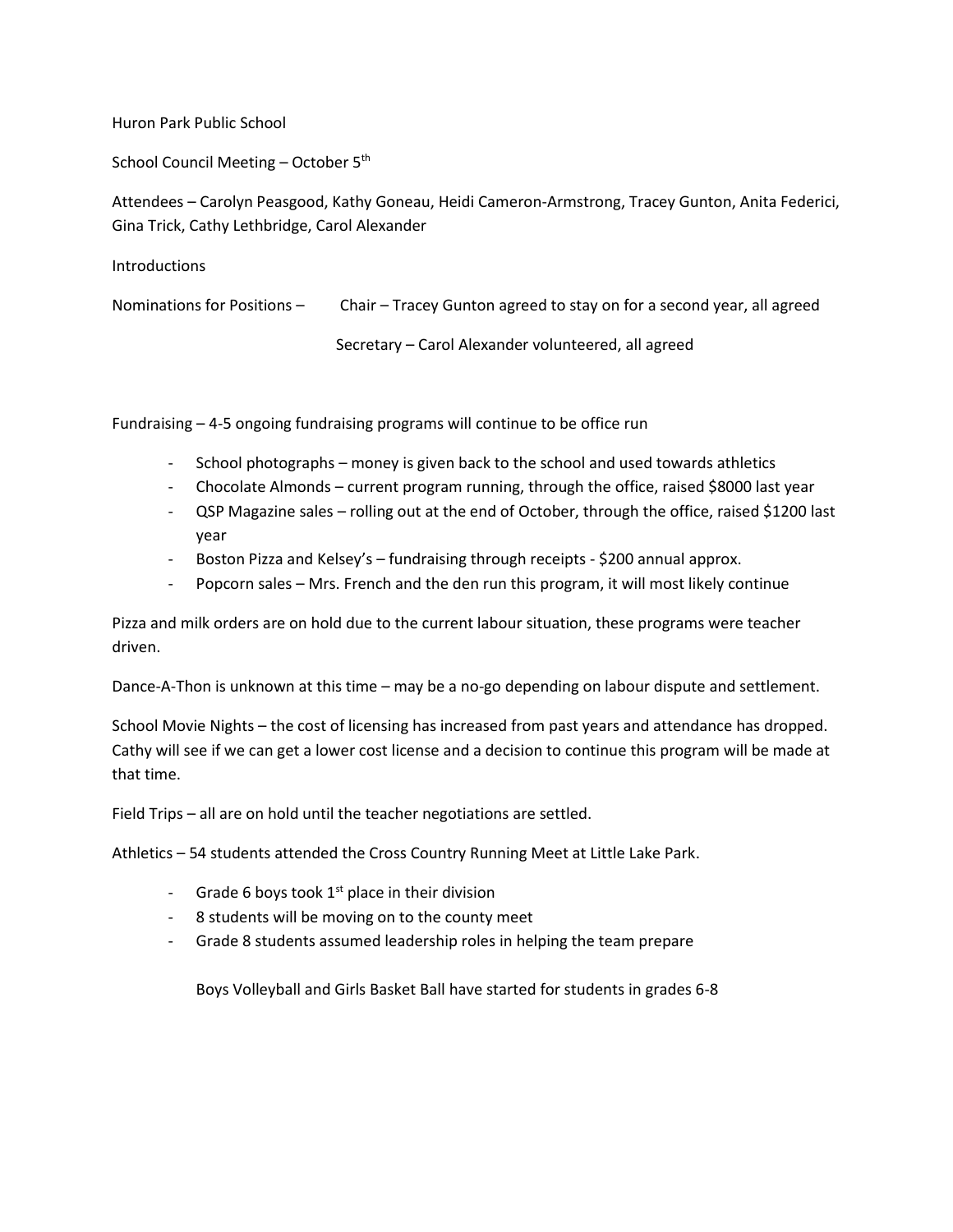Huron Park Public School

School Council Meeting - October 5<sup>th</sup>

Attendees – Carolyn Peasgood, Kathy Goneau, Heidi Cameron-Armstrong, Tracey Gunton, Anita Federici, Gina Trick, Cathy Lethbridge, Carol Alexander

| <b>Introductions</b>          |                                                                       |
|-------------------------------|-----------------------------------------------------------------------|
| Nominations for Positions $-$ | Chair – Tracey Gunton agreed to stay on for a second year, all agreed |
|                               | Secretary – Carol Alexander volunteered, all agreed                   |

Fundraising – 4-5 ongoing fundraising programs will continue to be office run

- School photographs money is given back to the school and used towards athletics
- Chocolate Almonds current program running, through the office, raised \$8000 last year
- QSP Magazine sales rolling out at the end of October, through the office, raised \$1200 last year
- Boston Pizza and Kelsey's fundraising through receipts \$200 annual approx.
- Popcorn sales Mrs. French and the den run this program, it will most likely continue

Pizza and milk orders are on hold due to the current labour situation, these programs were teacher driven.

Dance-A-Thon is unknown at this time – may be a no-go depending on labour dispute and settlement.

School Movie Nights – the cost of licensing has increased from past years and attendance has dropped. Cathy will see if we can get a lower cost license and a decision to continue this program will be made at that time.

Field Trips – all are on hold until the teacher negotiations are settled.

Athletics – 54 students attended the Cross Country Running Meet at Little Lake Park.

- Grade 6 boys took  $1<sup>st</sup>$  place in their division
- 8 students will be moving on to the county meet
- Grade 8 students assumed leadership roles in helping the team prepare

Boys Volleyball and Girls Basket Ball have started for students in grades 6-8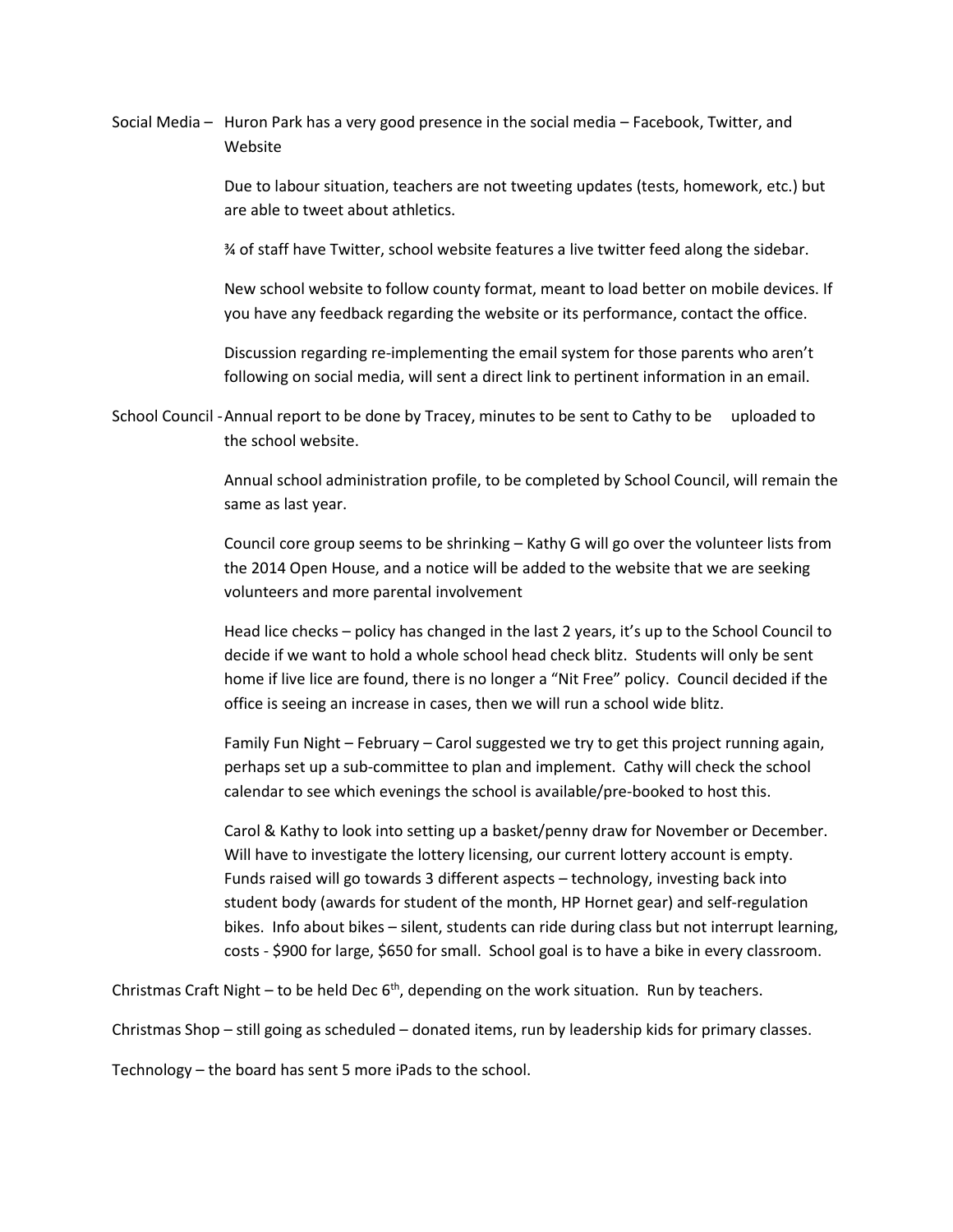Social Media – Huron Park has a very good presence in the social media – Facebook, Twitter, and Website

> Due to labour situation, teachers are not tweeting updates (tests, homework, etc.) but are able to tweet about athletics.

¾ of staff have Twitter, school website features a live twitter feed along the sidebar.

New school website to follow county format, meant to load better on mobile devices. If you have any feedback regarding the website or its performance, contact the office.

Discussion regarding re-implementing the email system for those parents who aren't following on social media, will sent a direct link to pertinent information in an email.

School Council -Annual report to be done by Tracey, minutes to be sent to Cathy to be uploaded to the school website.

> Annual school administration profile, to be completed by School Council, will remain the same as last year.

> Council core group seems to be shrinking – Kathy G will go over the volunteer lists from the 2014 Open House, and a notice will be added to the website that we are seeking volunteers and more parental involvement

> Head lice checks – policy has changed in the last 2 years, it's up to the School Council to decide if we want to hold a whole school head check blitz. Students will only be sent home if live lice are found, there is no longer a "Nit Free" policy. Council decided if the office is seeing an increase in cases, then we will run a school wide blitz.

Family Fun Night – February – Carol suggested we try to get this project running again, perhaps set up a sub-committee to plan and implement. Cathy will check the school calendar to see which evenings the school is available/pre-booked to host this.

Carol & Kathy to look into setting up a basket/penny draw for November or December. Will have to investigate the lottery licensing, our current lottery account is empty. Funds raised will go towards 3 different aspects – technology, investing back into student body (awards for student of the month, HP Hornet gear) and self-regulation bikes. Info about bikes – silent, students can ride during class but not interrupt learning, costs - \$900 for large, \$650 for small. School goal is to have a bike in every classroom.

Christmas Craft Night – to be held Dec  $6<sup>th</sup>$ , depending on the work situation. Run by teachers.

Christmas Shop – still going as scheduled – donated items, run by leadership kids for primary classes.

Technology – the board has sent 5 more iPads to the school.